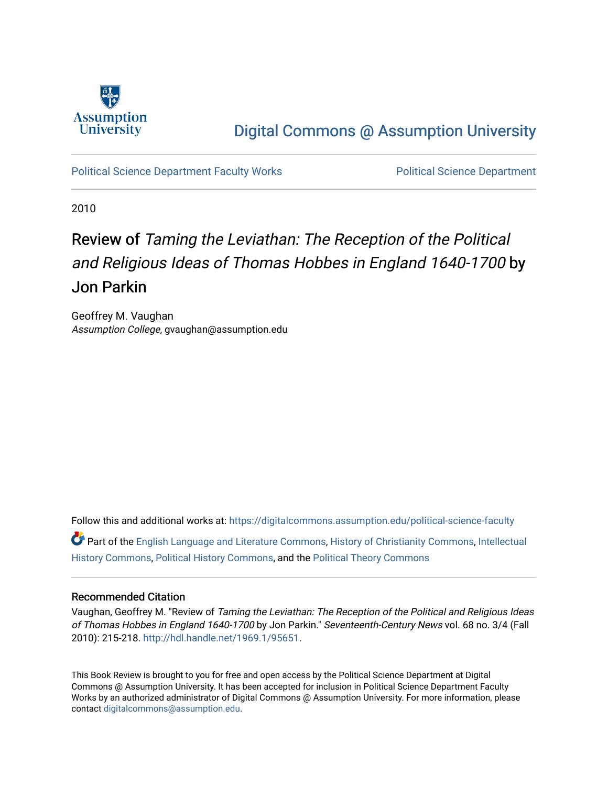

## [Digital Commons @ Assumption University](https://digitalcommons.assumption.edu/)

[Political Science Department Faculty Works](https://digitalcommons.assumption.edu/political-science-faculty) [Political Science Department](https://digitalcommons.assumption.edu/political-science) 

2010

## Review of Taming the Leviathan: The Reception of the Political and Religious Ideas of Thomas Hobbes in England 1640-1700 by Jon Parkin

Geoffrey M. Vaughan Assumption College, gvaughan@assumption.edu

Follow this and additional works at: [https://digitalcommons.assumption.edu/political-science-faculty](https://digitalcommons.assumption.edu/political-science-faculty?utm_source=digitalcommons.assumption.edu%2Fpolitical-science-faculty%2F38&utm_medium=PDF&utm_campaign=PDFCoverPages)

Part of the [English Language and Literature Commons](http://network.bepress.com/hgg/discipline/455?utm_source=digitalcommons.assumption.edu%2Fpolitical-science-faculty%2F38&utm_medium=PDF&utm_campaign=PDFCoverPages), [History of Christianity Commons](http://network.bepress.com/hgg/discipline/1182?utm_source=digitalcommons.assumption.edu%2Fpolitical-science-faculty%2F38&utm_medium=PDF&utm_campaign=PDFCoverPages), [Intellectual](http://network.bepress.com/hgg/discipline/501?utm_source=digitalcommons.assumption.edu%2Fpolitical-science-faculty%2F38&utm_medium=PDF&utm_campaign=PDFCoverPages)  [History Commons](http://network.bepress.com/hgg/discipline/501?utm_source=digitalcommons.assumption.edu%2Fpolitical-science-faculty%2F38&utm_medium=PDF&utm_campaign=PDFCoverPages), [Political History Commons](http://network.bepress.com/hgg/discipline/505?utm_source=digitalcommons.assumption.edu%2Fpolitical-science-faculty%2F38&utm_medium=PDF&utm_campaign=PDFCoverPages), and the [Political Theory Commons](http://network.bepress.com/hgg/discipline/391?utm_source=digitalcommons.assumption.edu%2Fpolitical-science-faculty%2F38&utm_medium=PDF&utm_campaign=PDFCoverPages) 

## Recommended Citation

Vaughan, Geoffrey M. "Review of Taming the Leviathan: The Reception of the Political and Religious Ideas of Thomas Hobbes in England 1640-1700 by Jon Parkin." Seventeenth-Century News vol. 68 no. 3/4 (Fall 2010): 215-218.<http://hdl.handle.net/1969.1/95651>.

This Book Review is brought to you for free and open access by the Political Science Department at Digital Commons @ Assumption University. It has been accepted for inclusion in Political Science Department Faculty Works by an authorized administrator of Digital Commons @ Assumption University. For more information, please contact [digitalcommons@assumption.edu.](mailto:digitalcommons@assumption.edu)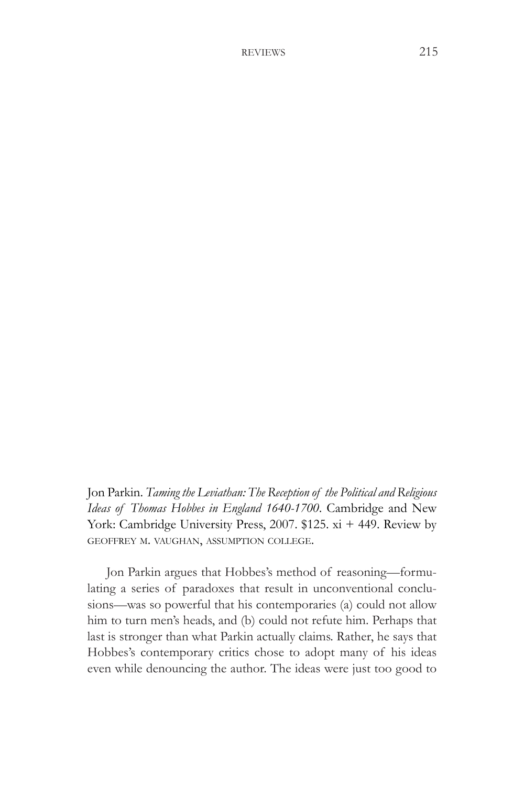Jon Parkin. *Taming the Leviathan: The Reception of the Political and Religious Ideas of Thomas Hobbes in England 1640-1700*. Cambridge and New York: Cambridge University Press, 2007. \$125. xi + 449. Review by geoffrey m. vaughan, assumption college.

Jon Parkin argues that Hobbes's method of reasoning—formulating a series of paradoxes that result in unconventional conclusions—was so powerful that his contemporaries (a) could not allow him to turn men's heads, and (b) could not refute him. Perhaps that last is stronger than what Parkin actually claims. Rather, he says that Hobbes's contemporary critics chose to adopt many of his ideas even while denouncing the author. The ideas were just too good to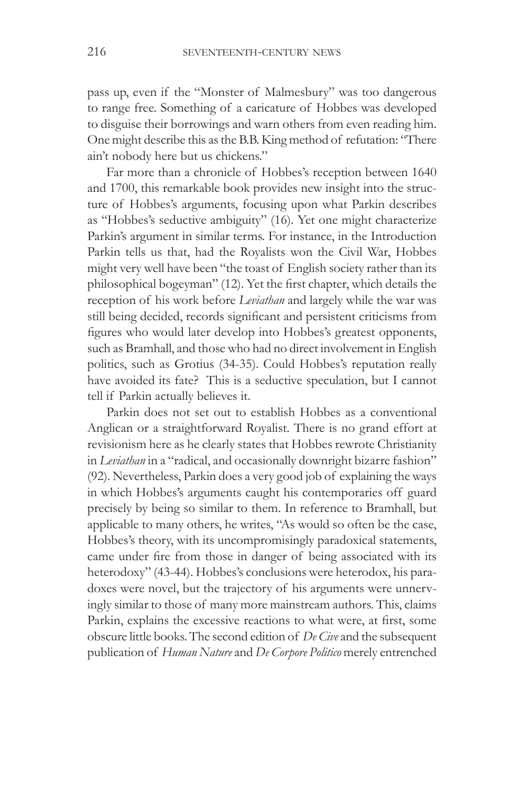pass up, even if the "Monster of Malmesbury" was too dangerous to range free. Something of a caricature of Hobbes was developed to disguise their borrowings and warn others from even reading him. One might describe this asthe B.B. King method of refutation: "There ain't nobody here but us chickens."

Far more than a chronicle of Hobbes's reception between 1640 and 1700, this remarkable book provides new insight into the structure of Hobbes's arguments, focusing upon what Parkin describes as "Hobbes's seductive ambiguity" (16). Yet one might characterize Parkin's argument in similar terms. For instance, in the Introduction Parkin tells us that, had the Royalists won the Civil War, Hobbes might very well have been "the toast of English society rather than its philosophical bogeyman" (12). Yet the first chapter, which details the reception of his work before *Leviathan* and largely while the war was still being decided, records significant and persistent criticisms from figures who would later develop into Hobbes's greatest opponents, such as Bramhall, and those who had no direct involvement in English politics, such as Grotius (34-35). Could Hobbes's reputation really have avoided its fate? This is a seductive speculation, but I cannot tell if Parkin actually believes it.

Parkin does not set out to establish Hobbes as a conventional Anglican or a straightforward Royalist. There is no grand effort at revisionism here as he clearly states that Hobbes rewrote Christianity in *Leviathan* in a "radical, and occasionally downright bizarre fashion" (92). Nevertheless, Parkin does a very good job of explaining the ways in which Hobbes's arguments caught his contemporaries off guard precisely by being so similar to them. In reference to Bramhall, but applicable to many others, he writes, "As would so often be the case, Hobbes's theory, with its uncompromisingly paradoxical statements, came under fire from those in danger of being associated with its heterodoxy" (43-44). Hobbes's conclusions were heterodox, his paradoxes were novel, but the trajectory of his arguments were unnervingly similar to those of many more mainstream authors. This, claims Parkin, explains the excessive reactions to what were, at first, some obscure little books. The second edition of *De Cive* and the subsequent publication of *Human Nature* and *De Corpore Politico* merely entrenched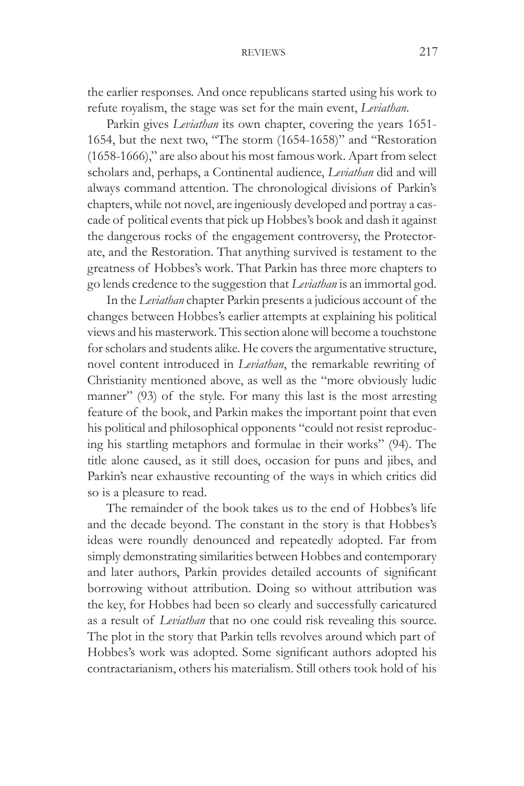the earlier responses. And once republicans started using his work to refute royalism, the stage was set for the main event, *Leviathan*.

Parkin gives *Leviathan* its own chapter, covering the years 1651- 1654, but the next two, "The storm (1654-1658)" and "Restoration (1658-1666)," are also about his most famous work. Apart from select scholars and, perhaps, a Continental audience, *Leviathan* did and will always command attention. The chronological divisions of Parkin's chapters, while not novel, are ingeniously developed and portray a cascade of political events that pick up Hobbes's book and dash it against the dangerous rocks of the engagement controversy, the Protectorate, and the Restoration. That anything survived is testament to the greatness of Hobbes's work. That Parkin has three more chapters to go lends credence to the suggestion that *Leviathan* is an immortal god.

In the *Leviathan* chapter Parkin presents a judicious account of the changes between Hobbes's earlier attempts at explaining his political views and his masterwork. This section alone will become a touchstone for scholars and students alike. He covers the argumentative structure, novel content introduced in *Leviathan*, the remarkable rewriting of Christianity mentioned above, as well as the "more obviously ludic manner" (93) of the style. For many this last is the most arresting feature of the book, and Parkin makes the important point that even his political and philosophical opponents "could not resist reproducing his startling metaphors and formulae in their works" (94). The title alone caused, as it still does, occasion for puns and jibes, and Parkin's near exhaustive recounting of the ways in which critics did so is a pleasure to read.

The remainder of the book takes us to the end of Hobbes's life and the decade beyond. The constant in the story is that Hobbes's ideas were roundly denounced and repeatedly adopted. Far from simply demonstrating similarities between Hobbes and contemporary and later authors, Parkin provides detailed accounts of significant borrowing without attribution. Doing so without attribution was the key, for Hobbes had been so clearly and successfully caricatured as a result of *Leviathan* that no one could risk revealing this source. The plot in the story that Parkin tells revolves around which part of Hobbes's work was adopted. Some significant authors adopted his contractarianism, others his materialism. Still others took hold of his